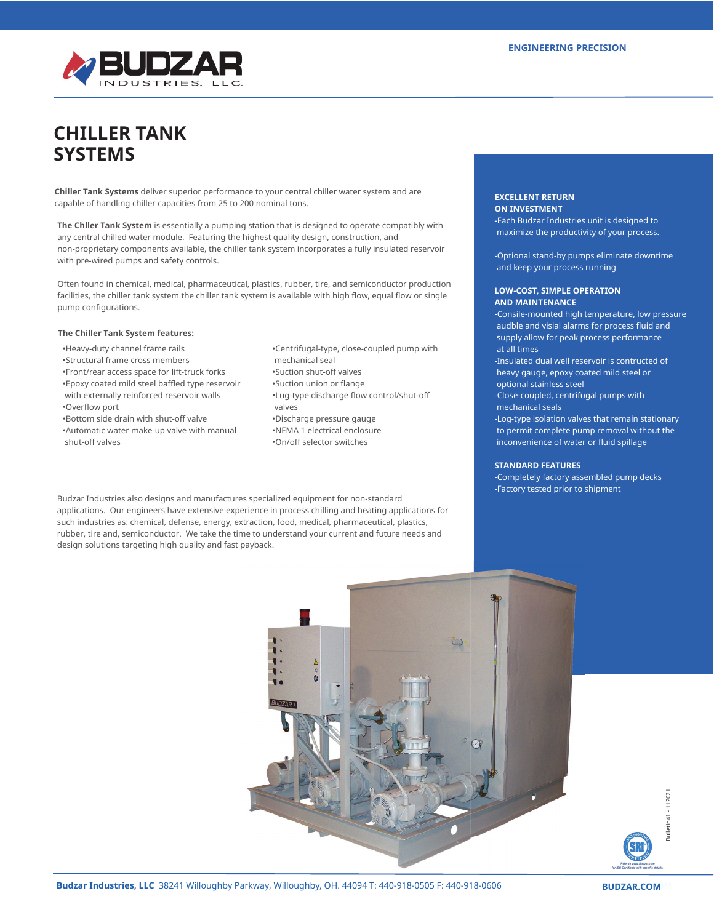

# **CHILLER TANK SYSTEMS**

**Chiller Tank Systems** deliver superior performance to your central chiller water system and are capable of handling chiller capacities from 25 to 200 nominal tons.

**The Chller Tank System** is essentially a pumping station that is designed to operate compatibly with any central chilled water module. Featuring the highest quality design, construction, and non-proprietary components available, the chiller tank system incorporates a fully insulated reservoir with pre-wired pumps and safety controls.

Often found in chemical, medical, pharmaceutical, plastics, rubber, tire, and semiconductor production facilities, the chiller tank system the chiller tank system is available with high flow, equal flow or single pump configurations.

#### **The Chiller Tank System features:**

- •Heavy-duty channel frame rails
- •Structural frame cross members
- •Front/rear access space for lift-truck forks
- •Epoxy coated mild steel baffled type reservoir with externally reinforced reservoir walls •Overflow port
- •Bottom side drain with shut-off valve
- •Automatic water make-up valve with manual shut-off valves
- •Centrifugal-type, close-coupled pump with mechanical seal •Suction shut-off valves •Suction union or flange
- •Lug-type discharge flow control/shut-off valves
- •Discharge pressure gauge
- •NEMA 1 electrical enclosure •On/off selector switches
- 

Budzar Industries also designs and manufactures specialized equipment for non-standard applications. Our engineers have extensive experience in process chilling and heating applications for such industries as: chemical, defense, energy, extraction, food, medical, pharmaceutical, plastics, rubber, tire and, semiconductor. We take the time to understand your current and future needs and design solutions targeting high quality and fast payback.

#### **EXCELLENT RETURN ON INVESTMENT**

**-**Each Budzar Industries unit is designed to maximize the productivity of your process.

-Optional stand-by pumps eliminate downtime and keep your process running

## **LOW-COST, SIMPLE OPERATION AND MAINTENANCE**

-Consile-mounted high temperature, low pressure audble and visial alarms for process fluid and supply allow for peak process performance at all times -Insulated dual well reservoir is contructed of heavy gauge, epoxy coated mild steel or

optional stainless steel

-Close-coupled, centrifugal pumps with mechanical seals

-Log-type isolation valves that remain stationary to permit complete pump removal without the inconvenience of water or fluid spillage

#### **STANDARD FEATURES**

-Completely factory assembled pump decks -Factory tested prior to shipment



**Budzar Industries, LLC** 38241 Willoughby Parkway, Willoughby, OH. 44094 T: 440-918-0505 F: 440-918-0606